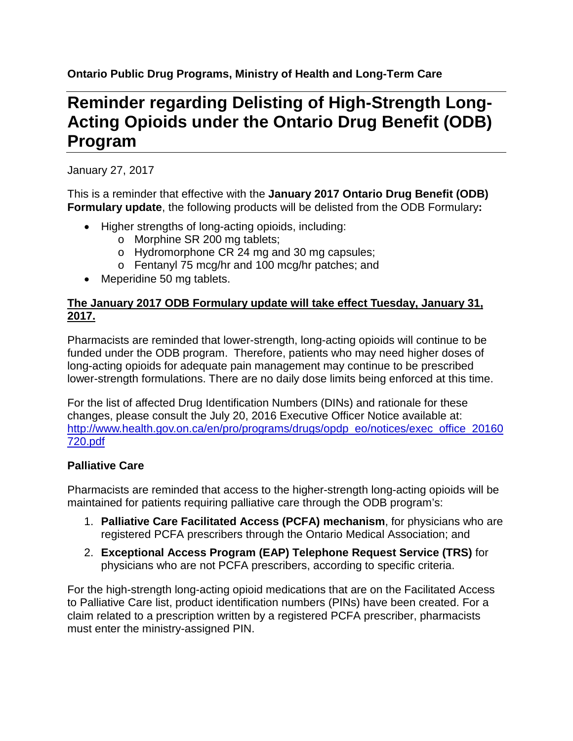**Ontario Public Drug Programs, Ministry of Health and Long-Term Care**

## **Reminder regarding Delisting of High-Strength Long-Acting Opioids under the Ontario Drug Benefit (ODB) Program**

January 27, 2017

This is a reminder that effective with the **January 2017 Ontario Drug Benefit (ODB) Formulary update**, the following products will be delisted from the ODB Formulary**:** 

- Higher strengths of long-acting opioids, including:
	- o Morphine SR 200 mg tablets;
	- o Hydromorphone CR 24 mg and 30 mg capsules;
	- o Fentanyl 75 mcg/hr and 100 mcg/hr patches; and
- Meperidine 50 mg tablets.

## **The January 2017 ODB Formulary update will take effect Tuesday, January 31, 2017.**

Pharmacists are reminded that lower-strength, long-acting opioids will continue to be funded under the ODB program. Therefore, patients who may need higher doses of long-acting opioids for adequate pain management may continue to be prescribed lower-strength formulations. There are no daily dose limits being enforced at this time.

For the list of affected Drug Identification Numbers (DINs) and rationale for these changes, please consult the July 20, 2016 Executive Officer Notice available at: [http://www.health.gov.on.ca/en/pro/programs/drugs/opdp\\_eo/notices/exec\\_office\\_20160](http://www.health.gov.on.ca/en/pro/programs/drugs/opdp_eo/notices/exec_office_20160720.pdf) [720.pdf](http://www.health.gov.on.ca/en/pro/programs/drugs/opdp_eo/notices/exec_office_20160720.pdf)

## **Palliative Care**

Pharmacists are reminded that access to the higher-strength long-acting opioids will be maintained for patients requiring palliative care through the ODB program's:

- 1. **Palliative Care Facilitated Access (PCFA) mechanism**, for physicians who are registered PCFA prescribers through the Ontario Medical Association; and
- 2. **Exceptional Access Program (EAP) Telephone Request Service (TRS)** for physicians who are not PCFA prescribers, according to specific criteria.

For the high-strength long-acting opioid medications that are on the Facilitated Access to Palliative Care list, product identification numbers (PINs) have been created. For a claim related to a prescription written by a registered PCFA prescriber, pharmacists must enter the ministry-assigned PIN.